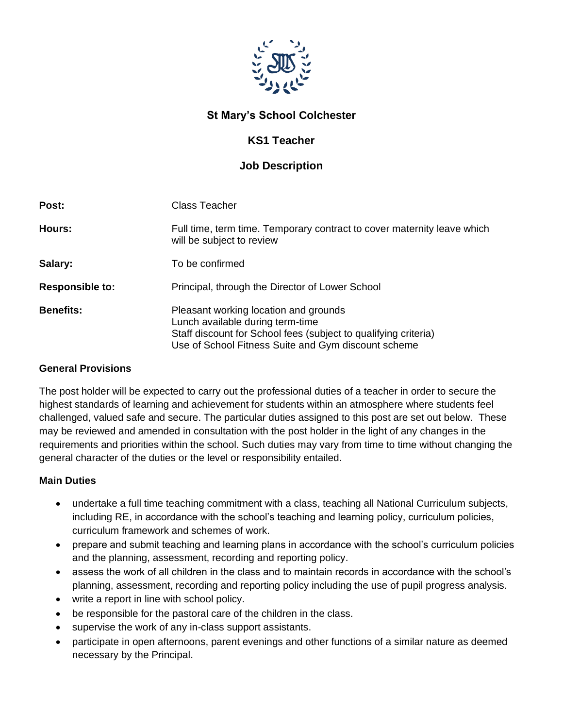

## **St Mary's School Colchester**

## **KS1 Teacher**

## **Job Description**

| Post:                  | Class Teacher                                                                                                                                                                                       |
|------------------------|-----------------------------------------------------------------------------------------------------------------------------------------------------------------------------------------------------|
| Hours:                 | Full time, term time. Temporary contract to cover maternity leave which<br>will be subject to review                                                                                                |
| Salary:                | To be confirmed                                                                                                                                                                                     |
| <b>Responsible to:</b> | Principal, through the Director of Lower School                                                                                                                                                     |
| <b>Benefits:</b>       | Pleasant working location and grounds<br>Lunch available during term-time<br>Staff discount for School fees (subject to qualifying criteria)<br>Use of School Fitness Suite and Gym discount scheme |

#### **General Provisions**

The post holder will be expected to carry out the professional duties of a teacher in order to secure the highest standards of learning and achievement for students within an atmosphere where students feel challenged, valued safe and secure. The particular duties assigned to this post are set out below. These may be reviewed and amended in consultation with the post holder in the light of any changes in the requirements and priorities within the school. Such duties may vary from time to time without changing the general character of the duties or the level or responsibility entailed.

#### **Main Duties**

- undertake a full time teaching commitment with a class, teaching all National Curriculum subjects, including RE, in accordance with the school's teaching and learning policy, curriculum policies, curriculum framework and schemes of work.
- prepare and submit teaching and learning plans in accordance with the school's curriculum policies and the planning, assessment, recording and reporting policy.
- assess the work of all children in the class and to maintain records in accordance with the school's planning, assessment, recording and reporting policy including the use of pupil progress analysis.
- write a report in line with school policy.
- be responsible for the pastoral care of the children in the class.
- supervise the work of any in-class support assistants.
- participate in open afternoons, parent evenings and other functions of a similar nature as deemed necessary by the Principal.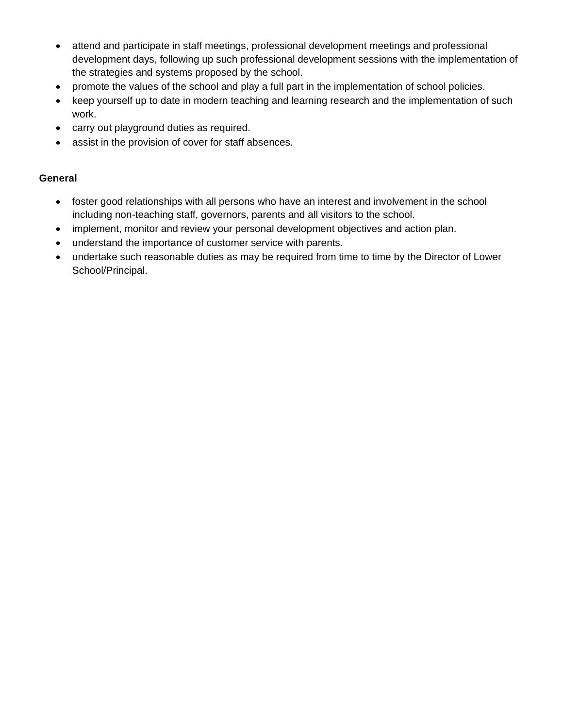- attend and participate in staff meetings, professional development meetings and professional development days, following up such professional development sessions with the implementation of the strategies and systems proposed by the school.
- promote the values of the school and play a full part in the implementation of school policies.
- keep yourself up to date in modern teaching and learning research and the implementation of such work.
- carry out playground duties as required.
- assist in the provision of cover for staff absences.

#### **General**

- foster good relationships with all persons who have an interest and involvement in the school including non-teaching staff, governors, parents and all visitors to the school.
- implement, monitor and review your personal development objectives and action plan.
- understand the importance of customer service with parents.
- undertake such reasonable duties as may be required from time to time by the Director of Lower School/Principal.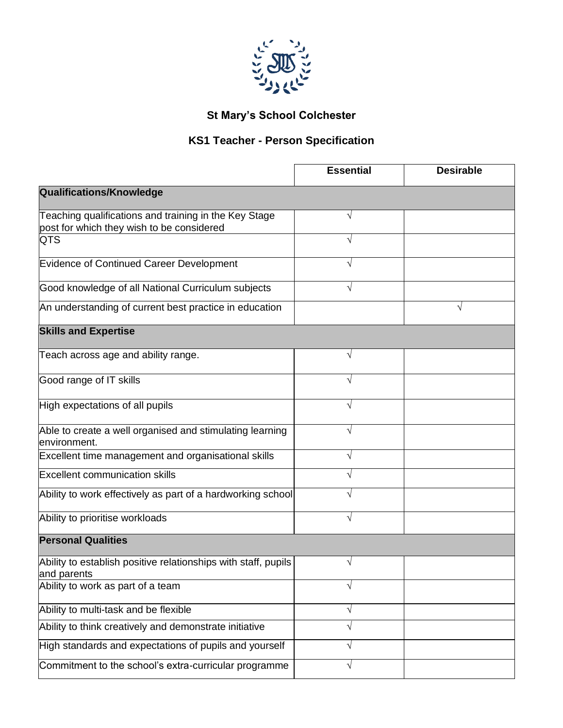

# **St Mary's School Colchester**

## **KS1 Teacher - Person Specification**

|                                                                                                    | <b>Essential</b> | <b>Desirable</b> |
|----------------------------------------------------------------------------------------------------|------------------|------------------|
| <b>Qualifications/Knowledge</b>                                                                    |                  |                  |
| Teaching qualifications and training in the Key Stage<br>post for which they wish to be considered | V                |                  |
| <b>QTS</b>                                                                                         |                  |                  |
| <b>Evidence of Continued Career Development</b>                                                    |                  |                  |
| Good knowledge of all National Curriculum subjects                                                 | V                |                  |
| An understanding of current best practice in education                                             |                  | V                |
| <b>Skills and Expertise</b>                                                                        |                  |                  |
| Teach across age and ability range.                                                                | N                |                  |
| Good range of IT skills                                                                            | V                |                  |
| High expectations of all pupils                                                                    | V                |                  |
| Able to create a well organised and stimulating learning<br>lenvironment.                          |                  |                  |
| Excellent time management and organisational skills                                                |                  |                  |
| <b>Excellent communication skills</b>                                                              |                  |                  |
| Ability to work effectively as part of a hardworking school                                        | V                |                  |
| Ability to prioritise workloads                                                                    | N                |                  |
| <b>Personal Qualities</b>                                                                          |                  |                  |
| Ability to establish positive relationships with staff, pupils<br>and parents                      | V                |                  |
| Ability to work as part of a team                                                                  | $\sqrt{}$        |                  |
| Ability to multi-task and be flexible                                                              | V                |                  |
| Ability to think creatively and demonstrate initiative                                             |                  |                  |
| High standards and expectations of pupils and yourself                                             | V                |                  |
| Commitment to the school's extra-curricular programme                                              | V                |                  |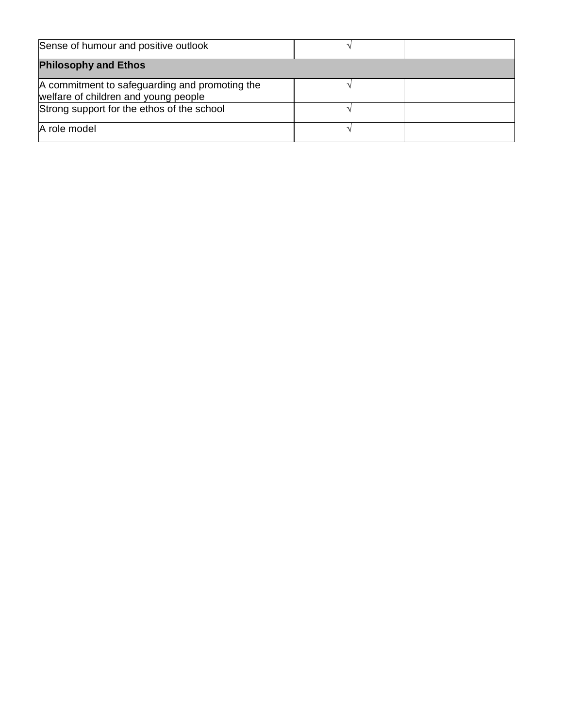| Sense of humour and positive outlook                                                   |  |
|----------------------------------------------------------------------------------------|--|
| <b>Philosophy and Ethos</b>                                                            |  |
| A commitment to safeguarding and promoting the<br>welfare of children and young people |  |
| Strong support for the ethos of the school                                             |  |
| A role model                                                                           |  |